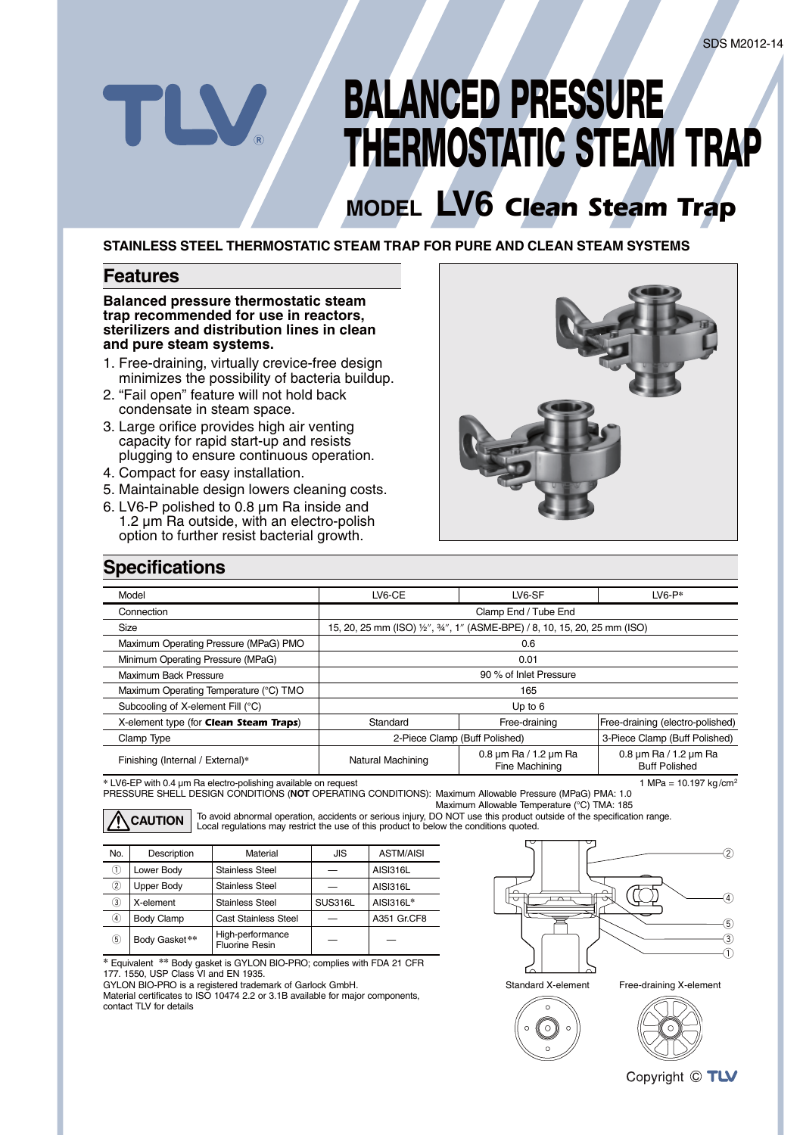# **BALANCED PRESSURE THERMOSTATIC STEAM TRAP**

## **MODEL LV6** *Clean Steam Trap*

**STAINLESS STEEL THERMOSTATIC STEAM TRAP FOR PURE AND CLEAN STEAM SYSTEMS**

#### **Features**

#### **Balanced pressure thermostatic steam trap recommended for use in reactors, sterilizers and distribution lines in clean and pure steam systems.**

- 1. Free-draining, virtually crevice-free design minimizes the possibility of bacteria buildup.
- 2. "Fail open" feature will not hold back condensate in steam space.
- 3. Large orifice provides high air venting capacity for rapid start-up and resists plugging to ensure continuous operation.
- 4. Compact for easy installation.
- 5. Maintainable design lowers cleaning costs.
- 6. LV6-P polished to 0.8 μm Ra inside and 1.2 μm Ra outside, with an electro-polish option to further resist bacterial growth.



#### **Specifications**

| Model                                  | LV6-CE                                                                 | LV6-SF                                              | $LVB-P*$                                                  |  |
|----------------------------------------|------------------------------------------------------------------------|-----------------------------------------------------|-----------------------------------------------------------|--|
| Connection                             | Clamp End / Tube End                                                   |                                                     |                                                           |  |
| Size                                   | 15, 20, 25 mm (ISO) ½", ¾", 1" (ASME-BPE) / 8, 10, 15, 20, 25 mm (ISO) |                                                     |                                                           |  |
| Maximum Operating Pressure (MPaG) PMO  | 0.6                                                                    |                                                     |                                                           |  |
| Minimum Operating Pressure (MPaG)      | 0.01                                                                   |                                                     |                                                           |  |
| Maximum Back Pressure                  | 90 % of Inlet Pressure                                                 |                                                     |                                                           |  |
| Maximum Operating Temperature (°C) TMO | 165                                                                    |                                                     |                                                           |  |
| Subcooling of X-element Fill (°C)      | Up to $6$                                                              |                                                     |                                                           |  |
| X-element type (for Clean Steam Traps) | Standard                                                               | Free-draining                                       | Free-draining (electro-polished)                          |  |
| Clamp Type                             | 2-Piece Clamp (Buff Polished)                                          |                                                     | 3-Piece Clamp (Buff Polished)                             |  |
| Finishing (Internal / External)*       | Natural Machining                                                      | $0.8 \,\mu m$ Ra / 1.2 $\mu m$ Ra<br>Fine Machining | $0.8 \,\mu m$ Ra / 1.2 $\mu m$ Ra<br><b>Buff Polished</b> |  |

**\*** LV6-EP with 0.4 μm Ra electro-polishing available on request 1 MPa = 10.197 kg /cm2 PRESSURE SHELL DESIGN CONDITIONS (**NOT** OPERATING CONDITIONS): Maximum Allowable Pressure (MPaG) PMA: 1.0

Maximum Allowable Temperature (°C) TMA: 185

To avoid abnormal operation, accidents or serious injury, DO NOT use this product outside of the specification range. **CAUTION** To avoid abnormal operation, accidents or serious injury, DO NOT use this product c<br>CAUTION Local regulations may restrict the use of this product to below the conditions quoted.

| No. | Description       | Material                                  | JIS            | <b>ASTM/AISI</b> |  |
|-----|-------------------|-------------------------------------------|----------------|------------------|--|
| ⋒   | Lower Body        | <b>Stainless Steel</b>                    |                | AISI316L         |  |
| 2   | <b>Upper Body</b> | <b>Stainless Steel</b>                    |                | AISI316L         |  |
| ③   | X-element         | <b>Stainless Steel</b>                    | <b>SUS316L</b> | AISI316L*        |  |
| 4)  | <b>Body Clamp</b> | Cast Stainless Steel                      |                | A351 Gr.CF8      |  |
| 5   | Body Gasket**     | High-performance<br><b>Fluorine Resin</b> |                |                  |  |

**\*** Equivalent **\*\*** Body gasket is GYLON BIO-PRO; complies with FDA 21 CFR 177. 1550, USP Class VI and EN 1935.

GYLON BIO-PRO is a registered trademark of Garlock GmbH. Material certificates to ISO 10474 2.2 or 3.1B available for major components, contact TLV for details









Copyright © TLV